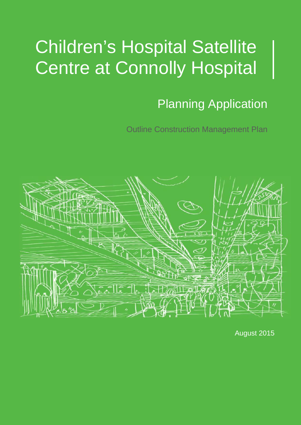# Planning Application

Outline Construction Management Plan



August 2015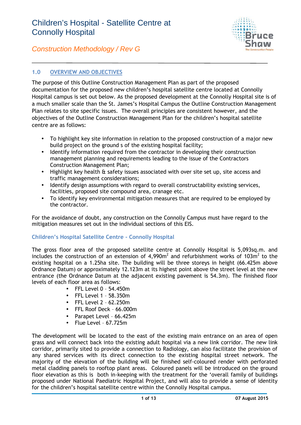

*Construction Methodology / Rev G*

### **1.0 OVERVIEW AND OBJECTIVES**

The purpose of this Outline Construction Management Plan as part of the proposed documentation for the proposed new children's hospital satellite centre located at Connolly Hospital campus is set out below. As the proposed development at the Connolly Hospital site is of a much smaller scale than the St. James's Hospital Campus the Outline Construction Management Plan relates to site specific issues. The overall principles are consistent however, and the objectives of the Outline Construction Management Plan for the children's hospital satellite centre are as follows:

- To highlight key site information in relation to the proposed construction of a major new build project on the ground s of the existing hospital facility;
- Identify information required from the contractor in developing their construction management planning and requirements leading to the issue of the Contractors Construction Management Plan;
- Highlight key health & safety issues associated with over site set up, site access and traffic management considerations;
- Identify design assumptions with regard to overall constructability existing services, facilities, proposed site compound area, cranage etc.
- To identify key environmental mitigation measures that are required to be employed by the contractor.

For the avoidance of doubt, any construction on the Connolly Campus must have regard to the mitigation measures set out in the individual sections of this EIS.

### **Children's Hospital Satellite Centre - Connolly Hospital**

The gross floor area of the proposed satellite centre at Connolly Hospital is 5,093sq.m. and includes the construction of an extension of  $4,990m^2$  and refurbishment works of 103 $m^2$  to the existing hospital on a 1.25ha site. The building will be three storeys in height (66.425m above Ordnance Datum) or approximately 12.123m at its highest point above the street level at the new entrance (the Ordnance Datum at the adjacent existing pavement is 54.3m). The finished floor levels of each floor area as follows:

- $\bullet$  FFL Level 0 54.450m
- $\bullet$  FFL Level 1 58.350m
- FFL Level 2 62.250m
- FFL Roof Deck 66.000m
- Parapet Level 66.425m
- Flue Level 67.725m

The development will be located to the east of the existing main entrance on an area of open grass and will connect back into the existing adult hospital via a new link corridor. The new link corridor, primarily sited to provide a connection to Radiology, can also facilitate the provision of any shared services with its direct connection to the existing hospital street network. The majority of the elevation of the building will be finished self-coloured render with perforated metal cladding panels to rooftop plant areas. Coloured panels will be introduced on the ground floor elevation as this is both in-keeping with the treatment for the 'overall family of buildings proposed under National Paediatric Hospital Project, and will also to provide a sense of identity for the children's hospital satellite centre within the Connolly Hospital campus.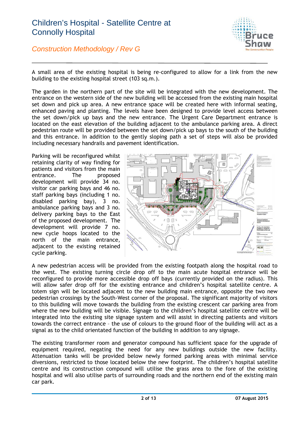

*Construction Methodology / Rev G*

A small area of the existing hospital is being re-configured to allow for a link from the new building to the existing hospital street (103 sq.m.).

The garden in the northern part of the site will be integrated with the new development. The entrance on the western side of the new building will be accessed from the existing main hospital set down and pick up area. A new entrance space will be created here with informal seating, enhanced paving and planting. The levels have been designed to provide level access between the set down/pick up bays and the new entrance. The Urgent Care Department entrance is located on the east elevation of the building adjacent to the ambulance parking area. A direct pedestrian route will be provided between the set down/pick up bays to the south of the building and this entrance. In addition to the gently sloping path a set of steps will also be provided including necessary handrails and pavement identification.

Parking will be reconfigured whilst retaining clarity of way finding for patients and visitors from the main entrance. The proposed development will provide 34 no. visitor car parking bays and 46 no. staff parking bays (including 1 no. disabled parking bay), 3 no. ambulance parking bays and 3 no. delivery parking bays to the East of the proposed development. The development will provide 7 no. new cycle hoops located to the north of the main entrance, adjacent to the existing retained cycle parking.



A new pedestrian access will be provided from the existing footpath along the hospital road to the west. The existing turning circle drop off to the main acute hospital entrance will be reconfigured to provide more accessible drop off bays (currently provided on the radius). This will allow safer drop off for the existing entrance and children's hospital satellite centre. A totem sign will be located adjacent to the new building main entrance, opposite the two new pedestrian crossings by the South-West corner of the proposal. The significant majority of visitors to this building will move towards the building from the existing crescent car parking area from where the new building will be visible. Signage to the children's hospital satellite centre will be integrated into the existing site signage system and will assist in directing patients and visitors towards the correct entrance – the use of colours to the ground floor of the building will act as a signal as to the child orientated function of the building in addition to any signage.

The existing transformer room and generator compound has sufficient space for the upgrade of equipment required, negating the need for any new buildings outside the new facility. Attenuation tanks will be provided below newly formed parking areas with minimal service diversions, restricted to those located below the new footprint. The children's hospital satellite centre and its construction compound will utilise the grass area to the fore of the existing hospital and will also utilise parts of surrounding roads and the northern end of the existing main car park.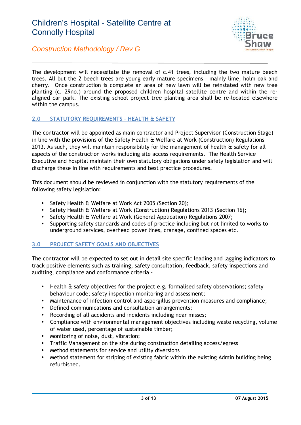

The development will necessitate the removal of c.41 trees, including the two mature beech trees. All but the 2 beech trees are young early mature specimens – mainly lime, holm oak and cherry. Once construction is complete an area of new lawn will be reinstated with new tree planting (c. 29no.) around the proposed children hospital satellite centre and within the re aligned car park. The existing school project tree planting area shall be re-located elsewhere within the campus.

### **2.0 STATUTORY REQUIREMENTS – HEALTH & SAFETY**

The contractor will be appointed as main contractor and Project Supervisor (Construction Stage) in line with the provisions of the Safety Health & Welfare at Work (Construction) Regulations 2013. As such, they will maintain responsibility for the management of health & safety for all aspects of the construction works including site access requirements. The Health Service Executive and hospital maintain their own statutory obligations under safety legislation and will discharge these in line with requirements and best practice procedures.

This document should be reviewed in conjunction with the statutory requirements of the following safety legislation:

- Safety Health & Welfare at Work Act 2005 (Section 20);
- Safety Health & Welfare at Work (Construction) Regulations 2013 (Section 16);
- Safety Health & Welfare at Work (General Application) Regulations 2007;
- Supporting safety standards and codes of practice including but not limited to works to underground services, overhead power lines, cranage, confined spaces etc.

### **3.0 PROJECT SAFETY GOALS AND OBJECTIVES**

The contractor will be expected to set out in detail site specific leading and lagging indicators to track positive elements such as training, safety consultation, feedback, safety inspections and auditing, compliance and conformance criteria -

- Health & safety objectives for the project e.g. formalised safety observations; safety behaviour code; safety inspection monitoring and assessment;
- Maintenance of infection control and aspergillus prevention measures and compliance;
- Defined communications and consultation arrangements;
- Recording of all accidents and incidents including near misses;
- Compliance with environmental management objectives including waste recycling, volume of water used, percentage of sustainable timber;
- Monitoring of noise, dust, vibration;
- Traffic Management on the site during construction detailing access/egress
- Method statements for service and utility diversions
- Method statement for striping of existing fabric within the existing Admin building being refurbished.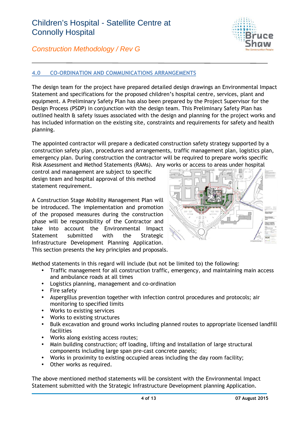

### *Construction Methodology / Rev G*

### **4.0 CO-ORDINATION AND COMMUNICATIONS ARRANGEMENTS**

The design team for the project have prepared detailed design drawings an Environmental Impact Statement and specifications for the proposed children's hospital centre, services, plant and equipment. A Preliminary Safety Plan has also been prepared by the Project Supervisor for the Design Process (PSDP) in conjunction with the design team. This Preliminary Safety Plan has outlined health & safety issues associated with the design and planning for the project works and has included information on the existing site, constraints and requirements for safety and health planning.

The appointed contractor will prepare a dedicated construction safety strategy supported by a construction safety plan, procedures and arrangements, traffic management plan, logistics plan, emergency plan. During construction the contractor will be required to prepare works specific Risk Assessment and Method Statements (RAMs). Any works or access to areas under hospital

control and management are subject to specific design team and hospital approval of this method statement requirement.

A Construction Stage Mobility Management Plan will be introduced. The implementation and promotion of the proposed measures during the construction phase will be responsibility of the Contractor and take into account the Environmental Impact Statement submitted with the Strategic Infrastructure Development Planning Application. This section presents the key principles and proposals.



Method statements in this regard will include (but not be limited to) the following:

- Traffic management for all construction traffic, emergency, and maintaining main access and ambulance roads at all times
- Logistics planning, management and co-ordination
- Fire safety
- Aspergillus prevention together with infection control procedures and protocols; air monitoring to specified limits
- Works to existing services
- Works to existing structures
- Bulk excavation and ground works including planned routes to appropriate licensed landfill facilities
- Works along existing access routes;
- Main building construction; off loading, lifting and installation of large structural components including large span pre-cast concrete panels;
- Works in proximity to existing occupied areas including the day room facility;
- Other works as required.

The above mentioned method statements will be consistent with the Environmental Impact Statement submitted with the Strategic Infrastructure Development planning Application.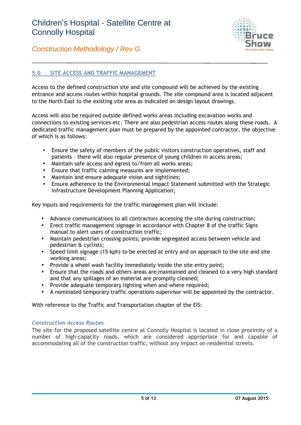

### **5.0 SITE ACCESS AND TRAFFIC MANAGEMENT**

Access to the defined construction site and site compound will be achieved by the existing entrance and access routes within hospital grounds. The site compound area is located adjacent to the North East to the existing site area as indicated on design layout drawings.

Access will also be required outside defined works areas including excavation works and connections to existing services etc. There are also pedestrian access routes along these roads. A dedicated traffic management plan must be prepared by the appointed contractor, the objective of which is as follows:

- Ensure the safety of members of the public visitors construction operatives, staff and patients – there will also regular presence of young children in access areas;
- Maintain safe access and egress to/from all works areas;
- Ensure that traffic calming measures are implemented;
- Maintain and ensure adequate vision and sightlines;
- Ensure adherence to the Environmental Impact Statement submitted with the Strategic Infrastructure Development Planning Application;

Key inputs and requirements for the traffic management plan will include:

- Advance communications to all contractors accessing the site during construction;
- Erect traffic management signage in accordance with Chapter 8 of the traffic Signs manual to alert users of construction traffic;
- Maintain pedestrian crossing points; provide segregated access between vehicle and pedestrian & cyclists;
- Speed limit signage (15 kph) to be erected at entry and on approach to the site and site working areas;
- Provide a wheel wash facility immediately inside the site entry point;
- Ensure that the roads and others areas are maintained and cleaned to a very high standard and that any spillages of an material are promptly cleaned;
- Provide adequate temporary lighting when and where required;
- A nominated temporary traffic operations supervisor will be appointed by the contractor.

With reference to the Traffic and Transportation chapter of the EIS:

### *Construction Access Routes*

The site for the proposed satellite centre at Connolly Hospital is located in close proximity of a number of high-capacity roads, which are considered appropriate for and capable of accommodating all of the construction traffic, without any impact on residential streets.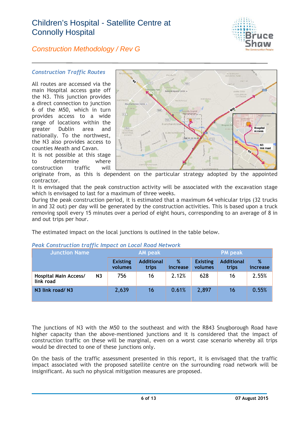

### *Construction Methodology / Rev G*

### *Construction Traffic Routes*

All routes are accessed via the main Hospital access gate off the N3. This junction provides a direct connection to junction 6 of the M50, which in turn provides access to a wide range of locations within the greater Dublin area and nationally. To the northwest, the N3 also provides access to counties Meath and Cavan.

It is not possible at this stage to determine where construction traffic will



originate from, as this is dependent on the particular strategy adopted by the appointed contractor.

It is envisaged that the peak construction activity will be associated with the excavation stage which is envisaged to last for a maximum of three weeks.

During the peak construction period, it is estimated that a maximum 64 vehicular trips (32 trucks in and 32 out) per day will be generated by the construction activities. This is based upon a truck removing spoil every 15 minutes over a period of eight hours, corresponding to an average of 8 in and out trips per hour.

The estimated impact on the local junctions is outlined in the table below.

| <b>Junction Name</b>                      |                | <b>AM</b> peak             |                            |               | <b>PM</b> peak             |                            |               |
|-------------------------------------------|----------------|----------------------------|----------------------------|---------------|----------------------------|----------------------------|---------------|
|                                           |                | <b>Existing</b><br>volumes | <b>Additional</b><br>trips | %<br>increase | <b>Existing</b><br>volumes | <b>Additional</b><br>trips | %<br>increase |
| <b>Hospital Main Access/</b><br>link road | N <sub>3</sub> | 756                        | 16                         | 2.12%         | 628                        | 16                         | 2.55%         |
| N3 link road/ N3                          |                | 2,639                      | 16                         | 0.61%         | 2,897                      | 16                         | 0.55%         |

### *Peak Construction traffic Impact on Local Road Network*

The junctions of N3 with the M50 to the southeast and with the R843 Snugborough Road have higher capacity than the above-mentioned junctions and it is considered that the impact of construction traffic on these will be marginal, even on a worst case scenario whereby all trips would be directed to one of these junctions only.

On the basis of the traffic assessment presented in this report, it is envisaged that the traffic impact associated with the proposed satellite centre on the surrounding road network will be insignificant. As such no physical mitigation measures are proposed.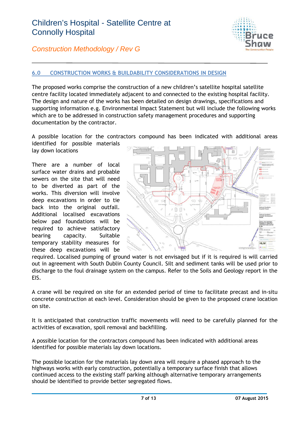

### **6.0 CONSTRUCTION WORKS & BUILDABILITY CONSIDERATIONS IN DESIGN**

The proposed works comprise the construction of a new children's satellite hospital satellite centre facility located immediately adjacent to and connected to the existing hospital facility. The design and nature of the works has been detailed on design drawings, specifications and supporting information e.g. Environmental Impact Statement but will include the following works which are to be addressed in construction safety management procedures and supporting documentation by the contractor.

A possible location for the contractors compound has been indicated with additional areas identified for possible materials lay down locations

There are a number of local surface water drains and probable sewers on the site that will need to be diverted as part of the works. This diversion will involve deep excavations in order to tie back into the original outfall. Additional localised excavations below pad foundations will be required to achieve satisfactory bearing capacity. Suitable temporary stability measures for these deep excavations will be



required. Localised pumping of ground water is not envisaged but if it is required is will carried out in agreement with South Dublin County Council. Silt and sediment tanks will be used prior to discharge to the foul drainage system on the campus. Refer to the Soils and Geology report in the EIS.

A crane will be required on site for an extended period of time to facilitate precast and in-situ concrete construction at each level. Consideration should be given to the proposed crane location on site.

It is anticipated that construction traffic movements will need to be carefully planned for the activities of excavation, spoil removal and backfilling.

A possible location for the contractors compound has been indicated with additional areas identified for possible materials lay down locations.

The possible location for the materials lay down area will require a phased approach to the highways works with early construction, potentially a temporary surface finish that allows continued access to the existing staff parking although alternative temporary arrangements should be identified to provide better segregated flows.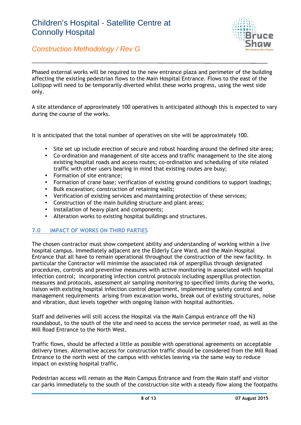

Phased external works will be required to the new entrance plaza and perimeter of the building affecting the existing pedestrian flows to the Main Hospital Entrance. Flows to the east of the Lollipop will need to be temporarily diverted whilst these works progress, using the west side only.

A site attendance of approximately 100 operatives is anticipated although this is expected to vary during the course of the works.

It is anticipated that the total number of operatives on site will be approximately 100.

- Site set up include erection of secure and robust hoarding around the defined site area;
- Co-ordination and management of site access and traffic management to the site along existing hospital roads and access routes; co-ordination and scheduling of site related traffic with other users bearing in mind that existing routes are busy;
- Formation of site entrance;
- Formation of crane base; verification of existing ground conditions to support loadings;
- Bulk excavation; construction of retaining walls;
- Verification of existing services and maintaining protection of these services;
- Construction of the main building structure and plant areas;
- Installation of heavy plant and components;
- Alteration works to existing hospital buildings and structures.

### **7.0 IMPACT OF WORKS ON THIRD PARTIES**

The chosen contractor must show competent ability and understanding of working within a live hospital campus. Immediately adjacent are the Elderly Care Ward, and the Main Hospital Entrance that all have to remain operational throughout the construction of the new facility. In particular the Contractor will minimise the associated risk of aspergillus through designated procedures, controls and preventive measures with active monitoring in associated with hospital infection control; incorporating infection control protocols including aspergillus protection measures and protocols, assessment air sampling monitoring to specified limits during the works, liaison with existing hospital infection control department, implementing safety control and management requirements arising from excavation works, break out of existing structures, noise and vibration, dust levels together with ongoing liaison with hospital authorities.

Staff and deliveries will still access the Hospital via the Main Campus entrance off the N3 roundabout, to the south of the site and need to access the service perimeter road, as well as the Mill Road Entrance to the North West.

Traffic flows, should be affected a little as possible with operational agreements on acceptable delivery times. Alternative access for construction traffic should be considered from the Mill Road Entrance to the north west of the campus with vehicles leaving via the same way to reduce impact on existing hospital traffic.

Pedestrian access will remain as the Main Campus Entrance and from the Main staff and visitor car parks immediately to the south of the construction site with a steady flow along the footpaths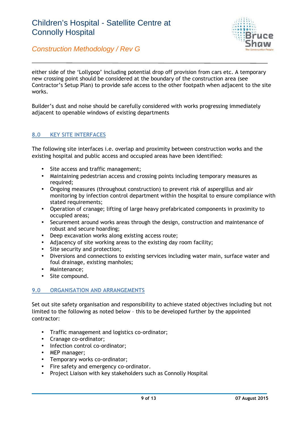

either side of the 'Lollypop' including potential drop off provision from cars etc. A temporary new crossing point should be considered at the boundary of the construction area (see Contractor's Setup Plan) to provide safe access to the other footpath when adjacent to the site works.

Builder's dust and noise should be carefully considered with works progressing immediately adjacent to openable windows of existing departments

### **8.0 KEY SITE INTERFACES**

The following site interfaces i.e. overlap and proximity between construction works and the existing hospital and public access and occupied areas have been identified:

- Site access and traffic management;
- Maintaining pedestrian access and crossing points including temporary measures as required;
- Ongoing measures (throughout construction) to prevent risk of aspergillus and air monitoring by infection control department within the hospital to ensure compliance with stated requirements:
- Operation of cranage; lifting of large heavy prefabricated components in proximity to occupied areas;
- Securement around works areas through the design, construction and maintenance of robust and secure hoarding;
- Deep excavation works along existing access route;
- Adjacency of site working areas to the existing day room facility;
- Site security and protection;
- Diversions and connections to existing services including water main, surface water and foul drainage, existing manholes;
- Maintenance;
- Site compound.

### **9.0 ORGANISATION AND ARRANGEMENTS**

Set out site safety organisation and responsibility to achieve stated objectives including but not limited to the following as noted below – this to be developed further by the appointed contractor:

- Traffic management and logistics co-ordinator;
- Cranage co-ordinator;
- Infection control co-ordinator:
- MEP manager:
- Temporary works co-ordinator;
- Fire safety and emergency co-ordinator.
- Project Liaison with key stakeholders such as Connolly Hospital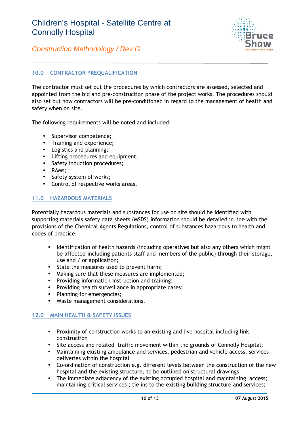

*Construction Methodology / Rev G*

### **10.0 CONTRACTOR PREQUALIFICATION**

The contractor must set out the procedures by which contractors are assessed, selected and appointed from the bid and pre-construction phase of the project works. The procedures should also set out how contractors will be pre-conditioned in regard to the management of health and safety when on site.

The following requirements will be noted and included:

- Supervisor competence;
- Training and experience;
- Logistics and planning;
- Lifting procedures and equipment;
- Safety induction procedures;
- RAMs:
- Safety system of works;
- Control of respective works areas.

### **11.0 HAZARDOUS MATERIALS**

Potentially hazardous materials and substances for use on site should be identified with supporting materials safety data sheets (MSDS) information should be detailed in line with the provisions of the Chemical Agents Regulations, control of substances hazardous to health and codes of practice:

- Identification of health hazards (including operatives but also any others which might be affected including patients staff and members of the public) through their storage, use and / or application;
- State the measures used to prevent harm;
- Making sure that these measures are implemented;
- Providing information instruction and training;
- Providing health surveillance in appropriate cases;
- Planning for emergencies;
- Waste management considerations.

### **12.0 MAIN HEALTH & SAFETY ISSUES**

- Proximity of construction works to an existing and live hospital including link construction
- Site access and related traffic movement within the grounds of Connolly Hospital;
- Maintaining existing ambulance and services, pedestrian and vehicle access, services deliveries within the hospital
- Co-ordination of construction e.g. different levels between the construction of the new hospital and the existing structure, to be outlined on structural drawings
- The immediate adjacency of the existing occupied hospital and maintaining access; maintaining critical services ; tie ins to the existing building structure and services;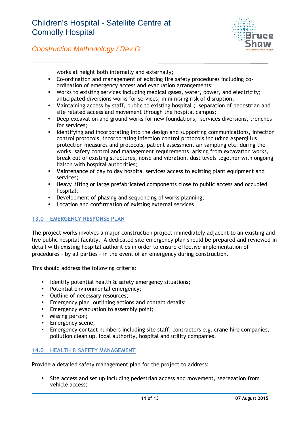

works at height both internally and externally;

- Co-ordination and management of existing fire safety procedures including co ordination of emergency access and evacuation arrangements;
- Works to existing services including medical gases, water, power, and electricity; anticipated diversions works for services; minimising risk of disruption;
- Maintaining access by staff, public to existing hospital ; separation of pedestrian and site related access and movement through the hospital campus;
- Deep excavation and ground works for new foundations, services diversions, trenches for services;
- Identifying and incorporating into the design and supporting communications, infection control protocols, incorporating infection control protocols including Aspergillus protection measures and protocols, patient assessment air sampling etc. during the works, safety control and management requirements arising from excavation works, break out of existing structures, noise and vibration, dust levels together with ongoing liaison with hospital authorities;
- Maintenance of day to day hospital services access to existing plant equipment and services;
- Heavy lifting or large prefabricated components close to public access and occupied hospital;
- Development of phasing and sequencing of works planning;
- Location and confirmation of existing external services.

### **13.0 EMERGENCY RESPONSE PLAN**

The project works involves a major construction project immediately adjacent to an existing and live public hospital facility. A dedicated site emergency plan should be prepared and reviewed in detail with existing hospital authorities in order to ensure effective implementation of procedures – by all parties – in the event of an emergency during construction.

This should address the following criteria:

- Identify potential health & safety emergency situations;
- Potential environmental emergency;
- Outline of necessary resources;
- Emergency plan outlining actions and contact details;
- Emergency evacuation to assembly point:
- Missing person:
- Emergency scene;
- Emergency contact numbers including site staff, contractors e.g. crane hire companies, pollution clean up, local authority, hospital and utility companies.

### **14.0 HEALTH & SAFETY MANAGEMENT**

Provide a detailed safety management plan for the project to address:

 Site access and set up including pedestrian access and movement, segregation from vehicle access;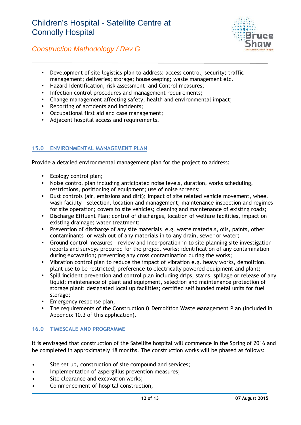

- Development of site logistics plan to address: access control; security; traffic management; deliveries; storage; housekeeping; waste management etc.
- Hazard Identification, risk assessment and Control measures;
- Infection control procedures and management requirements;
- Change management affecting safety, health and environmental impact;
- Reporting of accidents and incidents;
- Occupational first aid and case management;
- Adjacent hospital access and requirements.

### **15.0 ENVIRONMENTAL MANAGEMENT PLAN**

Provide a detailed environmental management plan for the project to address:

- Ecology control plan;
- Noise control plan including anticipated noise levels, duration, works scheduling, restrictions, positioning of equipment; use of noise screens;
- Dust controls (air, emissions and dirt); impact of site related vehicle movement, wheel wash facility – selection, location and management; maintenance inspection and regimes for site operation; covers to site vehicles; cleaning and maintenance of existing roads;
- Discharge Effluent Plan; control of discharges, location of welfare facilities, impact on existing drainage; water treatment;
- Prevention of discharge of any site materials e.g. waste materials, oils, paints, other contaminants or wash out of any materials in to any drain, sewer or water;
- Ground control measures review and incorporation in to site planning site investigation reports and surveys procured for the project works; identification of any contamination during excavation; preventing any cross contamination during the works;
- Vibration control plan to reduce the impact of vibration e.g. heavy works, demolition, plant use to be restricted; preference to electrically powered equipment and plant;
- Spill incident prevention and control plan including drips, stains, spillage or release of any liquid; maintenance of plant and equipment, selection and maintenance protection of storage plant; designated local up facilities; certified self bunded metal units for fuel storage;
- Emergency response plan:
- The requirements of the Construction & Demolition Waste Management Plan (included in Appendix 10.3 of this application).

### **16.0 TIMESCALE AND PROGRAMME**

It is envisaged that construction of the Satellite hospital will commence in the Spring of 2016 and be completed in approximately 18 months. The construction works will be phased as follows:

- Site set up, construction of site compound and services;
- Implementation of aspergillus prevention measures;
- Site clearance and excavation works;
- Commencement of hospital construction;